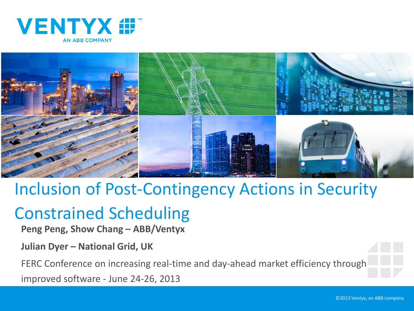



## Inclusion of Post-Contingency Actions in Security

## Constrained Scheduling

**Peng Peng, Show Chang – ABB/Ventyx**

**Julian Dyer – National Grid, UK** 

FERC Conference on increasing real-time and day-ahead market efficiency through

improved software - June 24-26, 2013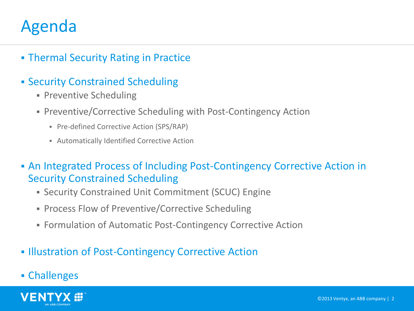### Agenda

- **Fig. 2** Thermal Security Rating in Practice
- Security Constrained Scheduling
	- **Preventive Scheduling**
	- Preventive/Corrective Scheduling with Post-Contingency Action
		- Pre-defined Corrective Action (SPS/RAP)
		- Automatically Identified Corrective Action
- An Integrated Process of Including Post-Contingency Corrective Action in Security Constrained Scheduling
	- Security Constrained Unit Commitment (SCUC) Engine
	- **Process Flow of Preventive/Corrective Scheduling**
	- Formulation of Automatic Post-Contingency Corrective Action
- **Illustration of Post-Contingency Corrective Action**
- Challenges

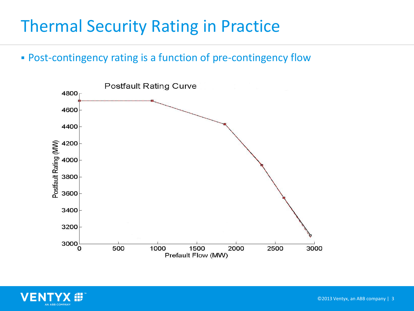## Thermal Security Rating in Practice

Post-contingency rating is a function of pre-contingency flow



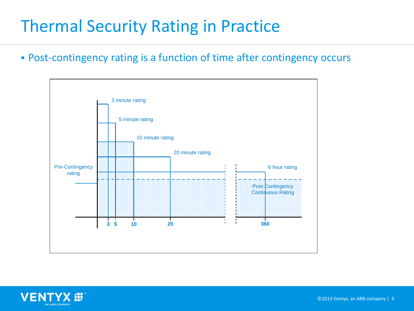## Thermal Security Rating in Practice

Post-contingency rating is a function of time after contingency occurs



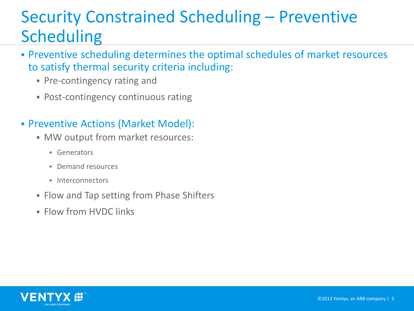# Security Constrained Scheduling – Preventive **Scheduling**

- Preventive scheduling determines the optimal schedules of market resources to satisfy thermal security criteria including:
	- **Pre-contingency rating and**
	- Post-contingency continuous rating

#### Preventive Actions (Market Model):

- **MW** output from market resources:
	- **Generators**
	- **Demand resources**
	- $\blacksquare$  Interconnectors
- **Flow and Tap setting from Phase Shifters**
- **Flow from HVDC links**

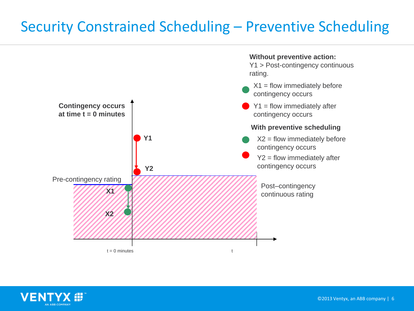#### Security Constrained Scheduling – Preventive Scheduling



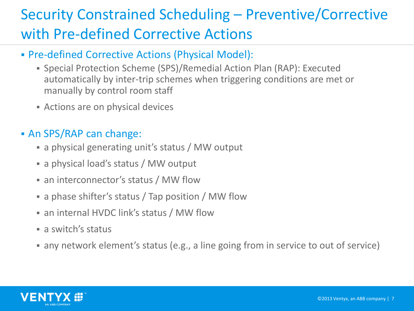## Security Constrained Scheduling – Preventive/Corrective with Pre-defined Corrective Actions

- Pre-defined Corrective Actions (Physical Model):
	- Special Protection Scheme (SPS)/Remedial Action Plan (RAP): Executed automatically by inter-trip schemes when triggering conditions are met or manually by control room staff
	- Actions are on physical devices

#### An SPS/RAP can change:

- a physical generating unit's status / MW output
- a physical load's status / MW output
- an interconnector's status / MW flow
- a phase shifter's status / Tap position / MW flow
- an internal HVDC link's status / MW flow
- **a** switch's status
- any network element's status (e.g., a line going from in service to out of service)

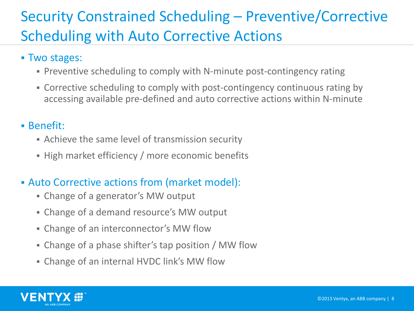### Security Constrained Scheduling – Preventive/Corrective Scheduling with Auto Corrective Actions

#### Two stages:

- Preventive scheduling to comply with N-minute post-contingency rating
- Corrective scheduling to comply with post-contingency continuous rating by accessing available pre-defined and auto corrective actions within N-minute

#### Benefit:

- Achieve the same level of transmission security
- **High market efficiency / more economic benefits**

#### Auto Corrective actions from (market model):

- Change of a generator's MW output
- Change of a demand resource's MW output
- Change of an interconnector's MW flow
- Change of a phase shifter's tap position / MW flow
- Change of an internal HVDC link's MW flow

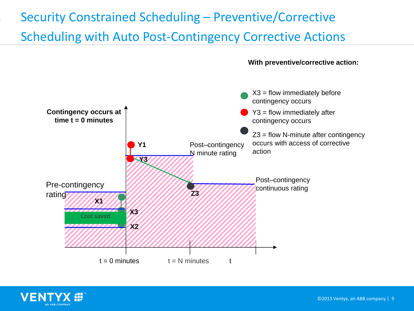#### Security Constrained Scheduling – Preventive/Corrective Scheduling with Auto Post-Contingency Corrective Actions





**With preventive/corrective action:**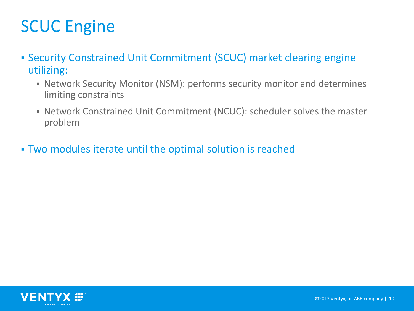# SCUC Engine

- Security Constrained Unit Commitment (SCUC) market clearing engine utilizing:
	- Network Security Monitor (NSM): performs security monitor and determines limiting constraints
	- Network Constrained Unit Commitment (NCUC): scheduler solves the master problem
- Two modules iterate until the optimal solution is reached

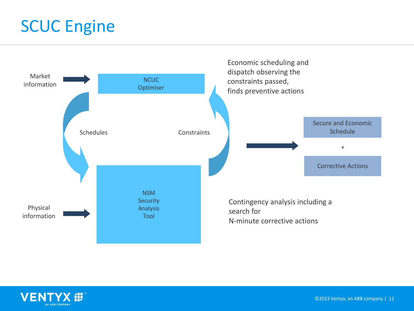## SCUC Engine



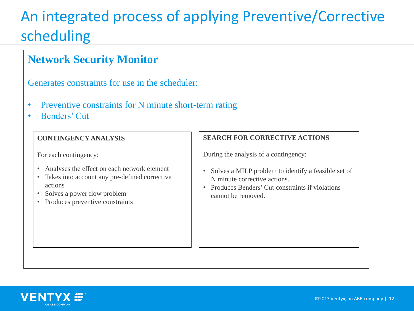#### An integrated process of applying Preventive/Corrective scheduling

#### **Network Security Monitor** Generates constraints for use in the scheduler: • Preventive constraints for N minute short-term rating • Benders' Cut **CONTINGENCY ANALYSIS** For each contingency: • Analyses the effect on each network element • Takes into account any pre-defined corrective actions • Solves a power flow problem • Produces preventive constraints **SEARCH FOR CORRECTIVE ACTIONS** During the analysis of a contingency: • Solves a MILP problem to identify a feasible set of N minute corrective actions. • Produces Benders' Cut constraints if violations cannot be removed.

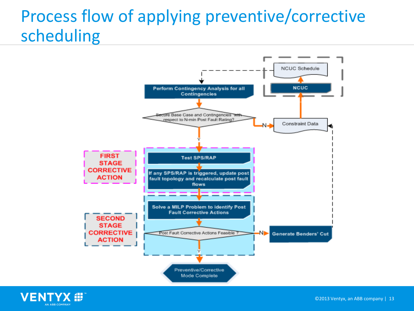# Process flow of applying preventive/corrective scheduling



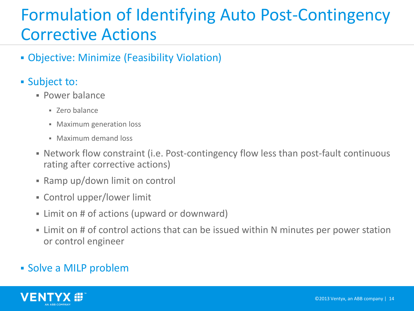## Formulation of Identifying Auto Post-Contingency Corrective Actions

- Objective: Minimize (Feasibility Violation)
- **Subject to:** 
	- Power balance
		- Zero balance
		- **Maximum generation loss**
		- Maximum demand loss
	- Network flow constraint (i.e. Post-contingency flow less than post-fault continuous rating after corrective actions)
	- Ramp up/down limit on control
	- Control upper/lower limit
	- Limit on # of actions (upward or downward)
	- Limit on # of control actions that can be issued within N minutes per power station or control engineer

#### Solve a MILP problem

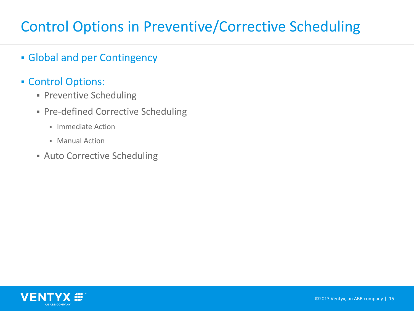#### Control Options in Preventive/Corrective Scheduling

- Global and per Contingency
- Control Options:
	- **Preventive Scheduling**
	- Pre-defined Corrective Scheduling
		- **Immediate Action**
		- Manual Action
	- **Auto Corrective Scheduling**

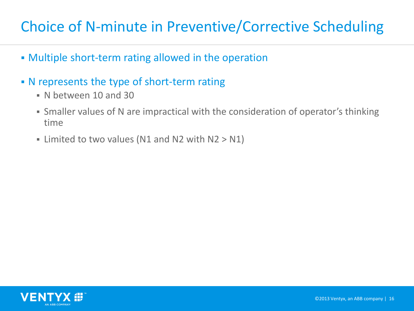#### Choice of N-minute in Preventive/Corrective Scheduling

- Multiple short-term rating allowed in the operation
- N represents the type of short-term rating
	- N between 10 and 30
	- Smaller values of N are impractical with the consideration of operator's thinking time
	- If Limited to two values (N1 and N2 with  $N2 > N1$ )

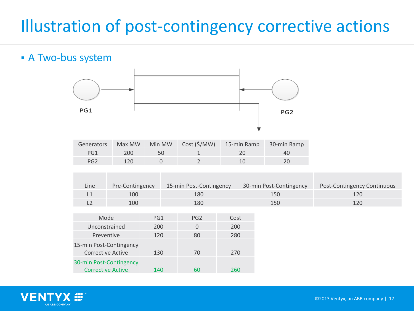# Illustration of post-contingency corrective actions

#### A Two-bus system



| Generators |               |    | Max MW Min MW Cost (\$/MW) 15-min Ramp 30-min Ramp |    |
|------------|---------------|----|----------------------------------------------------|----|
| PG1        | 200           | 50 |                                                    | 40 |
| PG2        | $120^{\circ}$ |    |                                                    |    |

| Line | Pre-Contingency | 15-min Post-Contingency | 30-min Post-Contingency | Post-Contingency Continuous |
|------|-----------------|-------------------------|-------------------------|-----------------------------|
|      | 100             | 180                     | 150                     | 120                         |
|      | 100             | 180                     | 150                     | 120                         |

| Mode                                                | PG1 | PG <sub>2</sub> | Cost |
|-----------------------------------------------------|-----|-----------------|------|
| Unconstrained                                       | 200 | $\Omega$        | 200  |
| Preventive                                          | 120 | 80              | 280  |
| 15-min Post-Contingency<br><b>Corrective Active</b> | 130 | 70              | 270  |
| 30-min Post-Contingency<br><b>Corrective Active</b> | 140 | 60              | 260  |

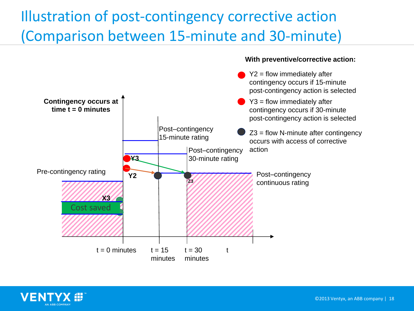### Illustration of post-contingency corrective action (Comparison between 15-minute and 30-minute)





**With preventive/corrective action:**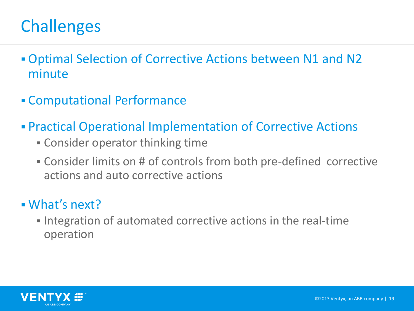# **Challenges**

- Optimal Selection of Corrective Actions between N1 and N2 minute
- Computational Performance
- Practical Operational Implementation of Corrective Actions
	- Consider operator thinking time
	- Consider limits on # of controls from both pre-defined corrective actions and auto corrective actions

#### What's next?

Integration of automated corrective actions in the real-time operation